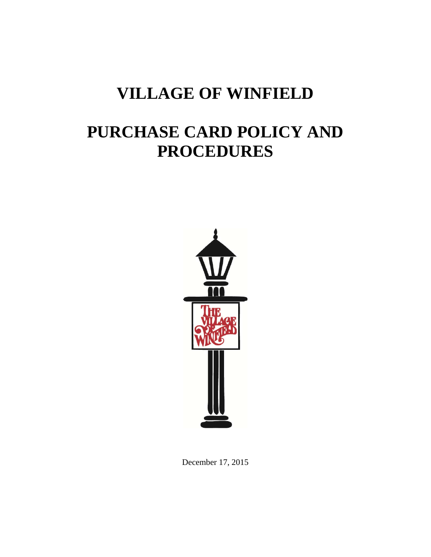# **VILLAGE OF WINFIELD**

# **PURCHASE CARD POLICY AND PROCEDURES**



December 17, 2015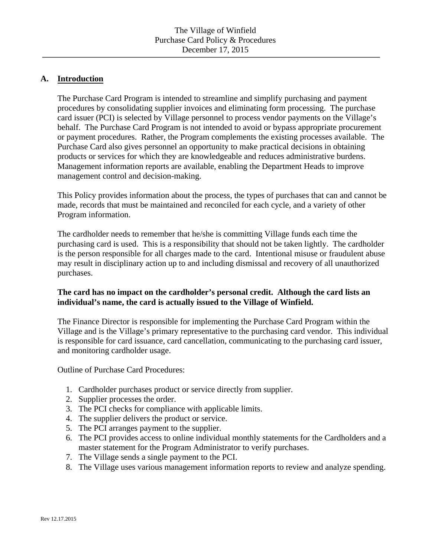### **A. Introduction**

The Purchase Card Program is intended to streamline and simplify purchasing and payment procedures by consolidating supplier invoices and eliminating form processing. The purchase card issuer (PCI) is selected by Village personnel to process vendor payments on the Village's behalf. The Purchase Card Program is not intended to avoid or bypass appropriate procurement or payment procedures. Rather, the Program complements the existing processes available. The Purchase Card also gives personnel an opportunity to make practical decisions in obtaining products or services for which they are knowledgeable and reduces administrative burdens. Management information reports are available, enabling the Department Heads to improve management control and decision-making.

This Policy provides information about the process, the types of purchases that can and cannot be made, records that must be maintained and reconciled for each cycle, and a variety of other Program information.

The cardholder needs to remember that he/she is committing Village funds each time the purchasing card is used. This is a responsibility that should not be taken lightly. The cardholder is the person responsible for all charges made to the card. Intentional misuse or fraudulent abuse may result in disciplinary action up to and including dismissal and recovery of all unauthorized purchases.

## **The card has no impact on the cardholder's personal credit. Although the card lists an individual's name, the card is actually issued to the Village of Winfield.**

The Finance Director is responsible for implementing the Purchase Card Program within the Village and is the Village's primary representative to the purchasing card vendor. This individual is responsible for card issuance, card cancellation, communicating to the purchasing card issuer, and monitoring cardholder usage.

Outline of Purchase Card Procedures:

- 1. Cardholder purchases product or service directly from supplier.
- 2. Supplier processes the order.
- 3. The PCI checks for compliance with applicable limits.
- 4. The supplier delivers the product or service.
- 5. The PCI arranges payment to the supplier.
- 6. The PCI provides access to online individual monthly statements for the Cardholders and a master statement for the Program Administrator to verify purchases.
- 7. The Village sends a single payment to the PCI.
- 8. The Village uses various management information reports to review and analyze spending.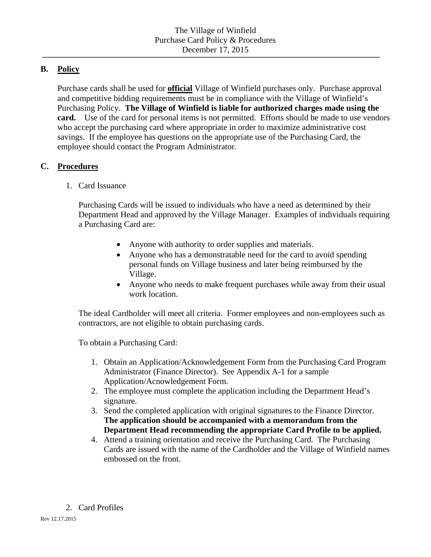# **B. Policy**

Purchase cards shall be used for **official** Village of Winfield purchases only. Purchase approval and competitive bidding requirements must be in compliance with the Village of Winfield's Purchasing Policy. **The Village of Winfield is liable for authorized charges made using the card.** Use of the card for personal items is not permitted. Efforts should be made to use vendors who accept the purchasing card where appropriate in order to maximize administrative cost savings. If the employee has questions on the appropriate use of the Purchasing Card, the employee should contact the Program Administrator.

# **C. Procedures**

1. Card Issuance

Purchasing Cards will be issued to individuals who have a need as determined by their Department Head and approved by the Village Manager. Examples of individuals requiring a Purchasing Card are:

- Anyone with authority to order supplies and materials.
- Anyone who has a demonstratable need for the card to avoid spending personal funds on Village business and later being reimbursed by the Village.
- Anyone who needs to make frequent purchases while away from their usual work location.

The ideal Cardholder will meet all criteria. Former employees and non-employees such as contractors, are not eligible to obtain purchasing cards.

To obtain a Purchasing Card:

- 1. Obtain an Application/Acknowledgement Form from the Purchasing Card Program Administrator (Finance Director). See Appendix A-1 for a sample Application/Acnowledgement Form.
- 2. The employee must complete the application including the Department Head's signature.
- 3. Send the completed application with original signatures to the Finance Director. **The application should be accompanied with a memorandum from the Department Head recommending the appropriate Card Profile to be applied.**
- 4. Attend a training orientation and receive the Purchasing Card. The Purchasing Cards are issued with the name of the Cardholder and the Village of Winfield names embossed on the front.
- 2. Card Profiles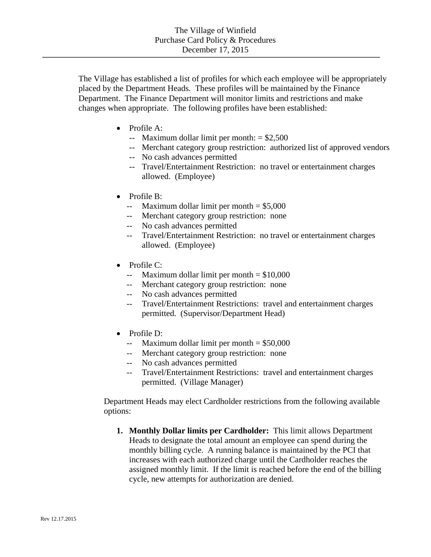The Village has established a list of profiles for which each employee will be appropriately placed by the Department Heads. These profiles will be maintained by the Finance Department. The Finance Department will monitor limits and restrictions and make changes when appropriate. The following profiles have been established:

- Profile A:
	- $\text{-}$  Maximum dollar limit per month: = \$2,500
	- -- Merchant category group restriction: authorized list of approved vendors
	- -- No cash advances permitted
	- -- Travel/Entertainment Restriction: no travel or entertainment charges allowed. (Employee)
- Profile B:
	- $\text{-}$  Maximum dollar limit per month = \$5,000
	- -- Merchant category group restriction: none
	- -- No cash advances permitted
	- -- Travel/Entertainment Restriction: no travel or entertainment charges allowed. (Employee)
- $\bullet$  Profile C:
	- $\text{-}$  Maximum dollar limit per month = \$10,000
	- -- Merchant category group restriction: none
	- -- No cash advances permitted
	- -- Travel/Entertainment Restrictions: travel and entertainment charges permitted. (Supervisor/Department Head)
- Profile D:
	- $\text{-}$  Maximum dollar limit per month = \$50,000
	- -- Merchant category group restriction: none
	- -- No cash advances permitted
	- -- Travel/Entertainment Restrictions: travel and entertainment charges permitted. (Village Manager)

Department Heads may elect Cardholder restrictions from the following available options:

**1. Monthly Dollar limits per Cardholder:** This limit allows Department Heads to designate the total amount an employee can spend during the monthly billing cycle. A running balance is maintained by the PCI that increases with each authorized charge until the Cardholder reaches the assigned monthly limit. If the limit is reached before the end of the billing cycle, new attempts for authorization are denied.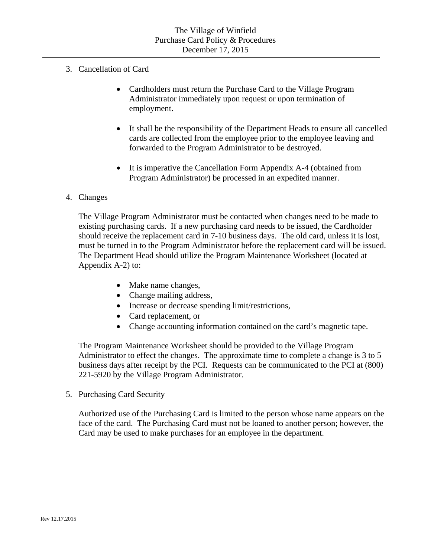- 3. Cancellation of Card
	- Cardholders must return the Purchase Card to the Village Program Administrator immediately upon request or upon termination of employment.
	- It shall be the responsibility of the Department Heads to ensure all cancelled cards are collected from the employee prior to the employee leaving and forwarded to the Program Administrator to be destroyed.
	- It is imperative the Cancellation Form Appendix A-4 (obtained from Program Administrator) be processed in an expedited manner.

#### 4. Changes

The Village Program Administrator must be contacted when changes need to be made to existing purchasing cards. If a new purchasing card needs to be issued, the Cardholder should receive the replacement card in 7-10 business days. The old card, unless it is lost, must be turned in to the Program Administrator before the replacement card will be issued. The Department Head should utilize the Program Maintenance Worksheet (located at Appendix A-2) to:

- Make name changes,
- Change mailing address,
- Increase or decrease spending limit/restrictions,
- Card replacement, or
- Change accounting information contained on the card's magnetic tape.

The Program Maintenance Worksheet should be provided to the Village Program Administrator to effect the changes. The approximate time to complete a change is 3 to 5 business days after receipt by the PCI. Requests can be communicated to the PCI at (800) 221-5920 by the Village Program Administrator.

5. Purchasing Card Security

 Authorized use of the Purchasing Card is limited to the person whose name appears on the face of the card. The Purchasing Card must not be loaned to another person; however, the Card may be used to make purchases for an employee in the department.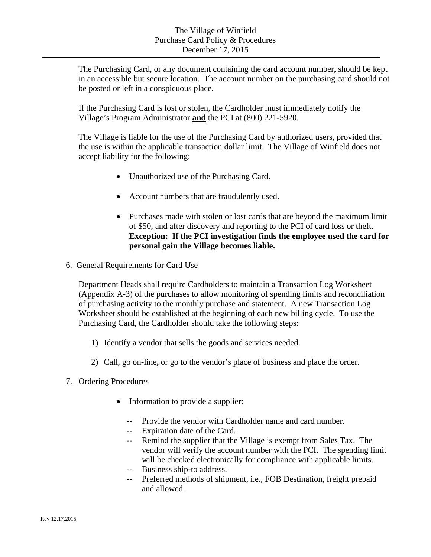The Purchasing Card, or any document containing the card account number, should be kept in an accessible but secure location. The account number on the purchasing card should not be posted or left in a conspicuous place.

If the Purchasing Card is lost or stolen, the Cardholder must immediately notify the Village's Program Administrator **and** the PCI at (800) 221-5920.

 The Village is liable for the use of the Purchasing Card by authorized users, provided that the use is within the applicable transaction dollar limit. The Village of Winfield does not accept liability for the following:

- Unauthorized use of the Purchasing Card.
- Account numbers that are fraudulently used.
- Purchases made with stolen or lost cards that are beyond the maximum limit of \$50, and after discovery and reporting to the PCI of card loss or theft. **Exception: If the PCI investigation finds the employee used the card for personal gain the Village becomes liable.**
- 6. General Requirements for Card Use

 Department Heads shall require Cardholders to maintain a Transaction Log Worksheet (Appendix A-3) of the purchases to allow monitoring of spending limits and reconciliation of purchasing activity to the monthly purchase and statement. A new Transaction Log Worksheet should be established at the beginning of each new billing cycle. To use the Purchasing Card, the Cardholder should take the following steps:

- 1) Identify a vendor that sells the goods and services needed.
- 2) Call, go on-line**,** or go to the vendor's place of business and place the order.
- 7. Ordering Procedures
	- Information to provide a supplier:
		- -- Provide the vendor with Cardholder name and card number.
		- -- Expiration date of the Card.
		- -- Remind the supplier that the Village is exempt from Sales Tax. The vendor will verify the account number with the PCI. The spending limit will be checked electronically for compliance with applicable limits.
		- -- Business ship-to address.
		- Preferred methods of shipment, i.e., FOB Destination, freight prepaid and allowed.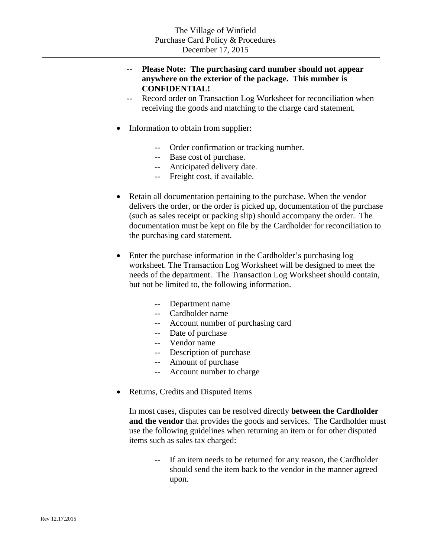# Please Note: The purchasing card number should not appear **anywhere on the exterior of the package. This number is CONFIDENTIAL!**

- -- Record order on Transaction Log Worksheet for reconciliation when receiving the goods and matching to the charge card statement.
- Information to obtain from supplier:
	- -- Order confirmation or tracking number.
	- -- Base cost of purchase.
	- -- Anticipated delivery date.
	- -- Freight cost, if available.
- Retain all documentation pertaining to the purchase. When the vendor delivers the order, or the order is picked up, documentation of the purchase (such as sales receipt or packing slip) should accompany the order. The documentation must be kept on file by the Cardholder for reconciliation to the purchasing card statement.
- Enter the purchase information in the Cardholder's purchasing log worksheet. The Transaction Log Worksheet will be designed to meet the needs of the department. The Transaction Log Worksheet should contain, but not be limited to, the following information.
	- -- Department name
	- -- Cardholder name
	- -- Account number of purchasing card
	- -- Date of purchase
	- -- Vendor name
	- -- Description of purchase
	- -- Amount of purchase
	- -- Account number to charge
- Returns, Credits and Disputed Items

In most cases, disputes can be resolved directly **between the Cardholder and the vendor** that provides the goods and services. The Cardholder must use the following guidelines when returning an item or for other disputed items such as sales tax charged:

-- If an item needs to be returned for any reason, the Cardholder should send the item back to the vendor in the manner agreed upon.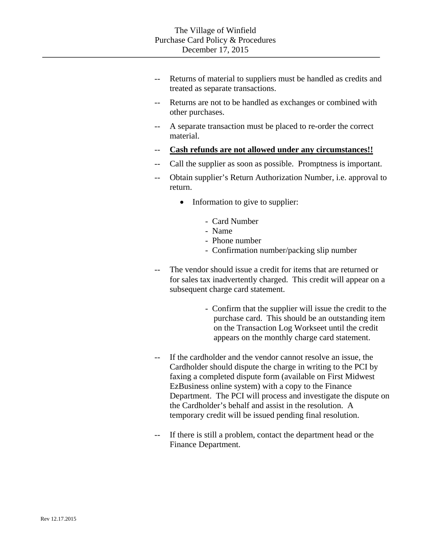- -- Returns of material to suppliers must be handled as credits and treated as separate transactions.
- -- Returns are not to be handled as exchanges or combined with other purchases.
- A separate transaction must be placed to re-order the correct material.
- -- **Cash refunds are not allowed under any circumstances!!**
- -- Call the supplier as soon as possible. Promptness is important.
- Obtain supplier's Return Authorization Number, i.e. approval to return.
	- Information to give to supplier:
		- Card Number
		- Name
		- Phone number
		- Confirmation number/packing slip number
- -- The vendor should issue a credit for items that are returned or for sales tax inadvertently charged. This credit will appear on a subsequent charge card statement.
	- Confirm that the supplier will issue the credit to the purchase card. This should be an outstanding item on the Transaction Log Workseet until the credit appears on the monthly charge card statement.
- -- If the cardholder and the vendor cannot resolve an issue, the Cardholder should dispute the charge in writing to the PCI by faxing a completed dispute form (available on First Midwest EzBusiness online system) with a copy to the Finance Department. The PCI will process and investigate the dispute on the Cardholder's behalf and assist in the resolution. A temporary credit will be issued pending final resolution.
- -- If there is still a problem, contact the department head or the Finance Department.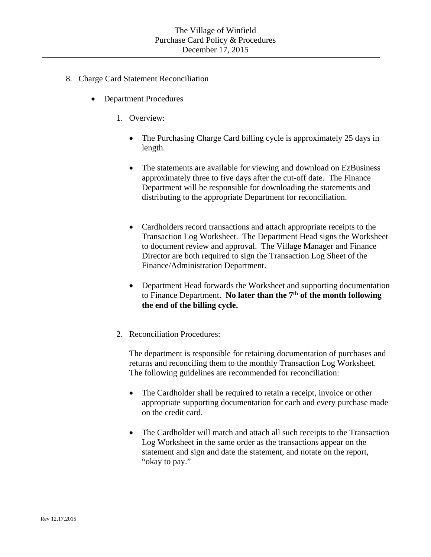- 8. Charge Card Statement Reconciliation
	- Department Procedures
		- 1. Overview:
			- The Purchasing Charge Card billing cycle is approximately 25 days in length.
			- The statements are available for viewing and download on EzBusiness approximately three to five days after the cut-off date. The Finance Department will be responsible for downloading the statements and distributing to the appropriate Department for reconciliation.
			- Cardholders record transactions and attach appropriate receipts to the Transaction Log Worksheet. The Department Head signs the Worksheet to document review and approval. The Village Manager and Finance Director are both required to sign the Transaction Log Sheet of the Finance/Administration Department.
			- Department Head forwards the Worksheet and supporting documentation to Finance Department. **No later than the 7th of the month following the end of the billing cycle.**
		- 2. Reconciliation Procedures:

The department is responsible for retaining documentation of purchases and returns and reconciling them to the monthly Transaction Log Worksheet. The following guidelines are recommended for reconciliation:

- The Cardholder shall be required to retain a receipt, invoice or other appropriate supporting documentation for each and every purchase made on the credit card.
- The Cardholder will match and attach all such receipts to the Transaction Log Worksheet in the same order as the transactions appear on the statement and sign and date the statement, and notate on the report, "okay to pay."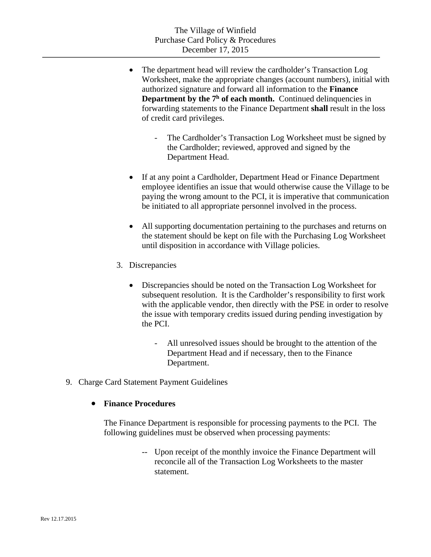- The department head will review the cardholder's Transaction Log Worksheet, make the appropriate changes (account numbers), initial with authorized signature and forward all information to the **Finance Department by the**  $7<sup>h</sup>$  **of each month.** Continued delinquencies in forwarding statements to the Finance Department **shall** result in the loss of credit card privileges.
	- The Cardholder's Transaction Log Worksheet must be signed by the Cardholder; reviewed, approved and signed by the Department Head.
- If at any point a Cardholder, Department Head or Finance Department employee identifies an issue that would otherwise cause the Village to be paying the wrong amount to the PCI, it is imperative that communication be initiated to all appropriate personnel involved in the process.
- All supporting documentation pertaining to the purchases and returns on the statement should be kept on file with the Purchasing Log Worksheet until disposition in accordance with Village policies.
- 3. Discrepancies
	- Discrepancies should be noted on the Transaction Log Worksheet for subsequent resolution. It is the Cardholder's responsibility to first work with the applicable vendor, then directly with the PSE in order to resolve the issue with temporary credits issued during pending investigation by the PCI.
		- All unresolved issues should be brought to the attention of the Department Head and if necessary, then to the Finance Department.
- 9. Charge Card Statement Payment Guidelines

# **Finance Procedures**

The Finance Department is responsible for processing payments to the PCI. The following guidelines must be observed when processing payments:

> -- Upon receipt of the monthly invoice the Finance Department will reconcile all of the Transaction Log Worksheets to the master statement.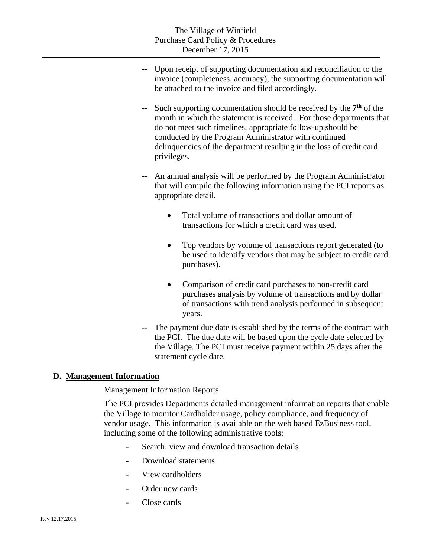- -- Upon receipt of supporting documentation and reconciliation to the invoice (completeness, accuracy), the supporting documentation will be attached to the invoice and filed accordingly.
- Such supporting documentation should be received by the  $7<sup>th</sup>$  of the month in which the statement is received. For those departments that do not meet such timelines, appropriate follow-up should be conducted by the Program Administrator with continued delinquencies of the department resulting in the loss of credit card privileges.
- -- An annual analysis will be performed by the Program Administrator that will compile the following information using the PCI reports as appropriate detail.
	- Total volume of transactions and dollar amount of transactions for which a credit card was used.
	- Top vendors by volume of transactions report generated (to be used to identify vendors that may be subject to credit card purchases).
	- Comparison of credit card purchases to non-credit card purchases analysis by volume of transactions and by dollar of transactions with trend analysis performed in subsequent years.
- -- The payment due date is established by the terms of the contract with the PCI. The due date will be based upon the cycle date selected by the Village. The PCI must receive payment within 25 days after the statement cycle date.

# **D. Management Information**

#### Management Information Reports

The PCI provides Departments detailed management information reports that enable the Village to monitor Cardholder usage, policy compliance, and frequency of vendor usage. This information is available on the web based EzBusiness tool, including some of the following administrative tools:

- Search, view and download transaction details
- Download statements
- View cardholders
- Order new cards
- Close cards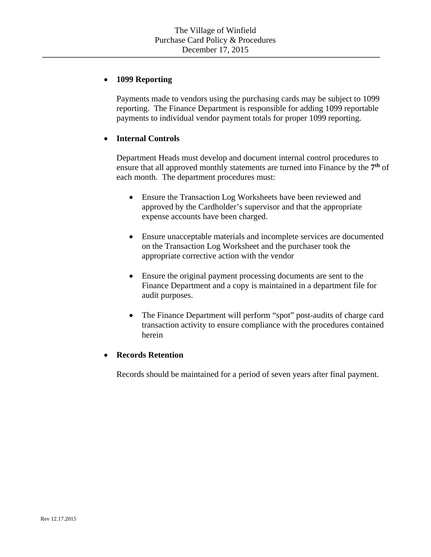# **1099 Reporting**

Payments made to vendors using the purchasing cards may be subject to 1099 reporting. The Finance Department is responsible for adding 1099 reportable payments to individual vendor payment totals for proper 1099 reporting.

# **Internal Controls**

Department Heads must develop and document internal control procedures to ensure that all approved monthly statements are turned into Finance by the **7th** of each month. The department procedures must:

- Ensure the Transaction Log Worksheets have been reviewed and approved by the Cardholder's supervisor and that the appropriate expense accounts have been charged.
- Ensure unacceptable materials and incomplete services are documented on the Transaction Log Worksheet and the purchaser took the appropriate corrective action with the vendor
- Ensure the original payment processing documents are sent to the Finance Department and a copy is maintained in a department file for audit purposes.
- The Finance Department will perform "spot" post-audits of charge card transaction activity to ensure compliance with the procedures contained herein

#### **Records Retention**

Records should be maintained for a period of seven years after final payment.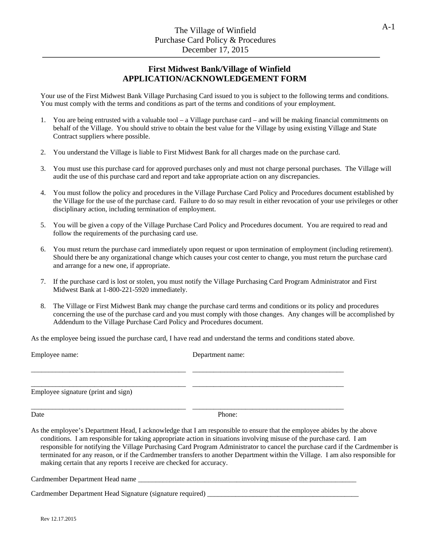## **First Midwest Bank/Village of Winfield APPLICATION/ACKNOWLEDGEMENT FORM**

Your use of the First Midwest Bank Village Purchasing Card issued to you is subject to the following terms and conditions. You must comply with the terms and conditions as part of the terms and conditions of your employment.

- 1. You are being entrusted with a valuable tool a Village purchase card and will be making financial commitments on behalf of the Village. You should strive to obtain the best value for the Village by using existing Village and State Contract suppliers where possible.
- 2. You understand the Village is liable to First Midwest Bank for all charges made on the purchase card.
- 3. You must use this purchase card for approved purchases only and must not charge personal purchases. The Village will audit the use of this purchase card and report and take appropriate action on any discrepancies.
- 4. You must follow the policy and procedures in the Village Purchase Card Policy and Procedures document established by the Village for the use of the purchase card. Failure to do so may result in either revocation of your use privileges or other disciplinary action, including termination of employment.
- 5. You will be given a copy of the Village Purchase Card Policy and Procedures document. You are required to read and follow the requirements of the purchasing card use.
- 6. You must return the purchase card immediately upon request or upon termination of employment (including retirement). Should there be any organizational change which causes your cost center to change, you must return the purchase card and arrange for a new one, if appropriate.
- 7. If the purchase card is lost or stolen, you must notify the Village Purchasing Card Program Administrator and First Midwest Bank at 1-800-221-5920 immediately.
- 8. The Village or First Midwest Bank may change the purchase card terms and conditions or its policy and procedures concerning the use of the purchase card and you must comply with those changes. Any changes will be accomplished by Addendum to the Village Purchase Card Policy and Procedures document.

As the employee being issued the purchase card, I have read and understand the terms and conditions stated above.

Employee name: Department name: \_\_\_\_\_\_\_\_\_\_\_\_\_\_\_\_\_\_\_\_\_\_\_\_\_\_\_\_\_\_\_\_\_\_\_\_\_\_\_\_\_\_\_\_ \_\_\_\_\_\_\_\_\_\_\_\_\_\_\_\_\_\_\_\_\_\_\_\_\_\_\_\_\_\_\_\_\_\_\_\_\_\_\_\_\_\_\_ \_\_\_\_\_\_\_\_\_\_\_\_\_\_\_\_\_\_\_\_\_\_\_\_\_\_\_\_\_\_\_\_\_\_\_\_\_\_\_\_\_\_\_\_ \_\_\_\_\_\_\_\_\_\_\_\_\_\_\_\_\_\_\_\_\_\_\_\_\_\_\_\_\_\_\_\_\_\_\_\_\_\_\_\_\_\_\_ Employee signature (print and sign) \_\_\_\_\_\_\_\_\_\_\_\_\_\_\_\_\_\_\_\_\_\_\_\_\_\_\_\_\_\_\_\_\_\_\_\_\_\_\_\_\_\_\_\_ \_\_\_\_\_\_\_\_\_\_\_\_\_\_\_\_\_\_\_\_\_\_\_\_\_\_\_\_\_\_\_\_\_\_\_\_\_\_\_\_\_\_\_ Date Phone: As the employee's Department Head, I acknowledge that I am responsible to ensure that the employee abides by the above

conditions. I am responsible for taking appropriate action in situations involving misuse of the purchase card. I am responsible for notifying the Village Purchasing Card Program Administrator to cancel the purchase card if the Cardmember is terminated for any reason, or if the Cardmember transfers to another Department within the Village. I am also responsible for making certain that any reports I receive are checked for accuracy.

Cardmember Department Head name \_\_\_\_\_\_\_\_\_\_\_\_\_\_\_\_\_\_\_\_\_\_\_\_\_\_\_\_\_\_\_\_\_\_\_\_\_\_\_\_\_\_\_\_\_\_\_\_\_\_\_\_\_\_\_\_\_\_\_\_\_\_

Cardmember Department Head Signature (signature required) \_\_\_\_\_\_\_\_\_\_\_\_\_\_\_\_\_\_\_\_\_\_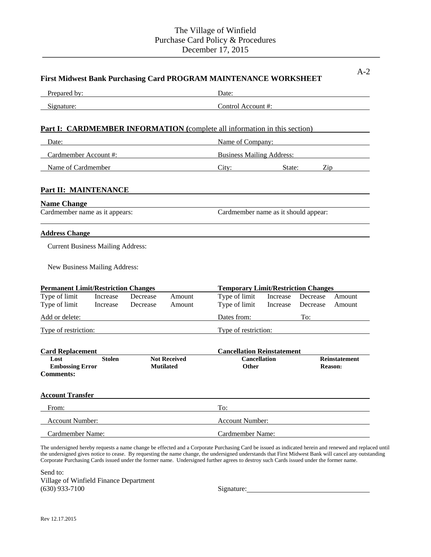|                                                                                                                |                      |                                     |                                      | <b>First Midwest Bank Purchasing Card PROGRAM MAINTENANCE WORKSHEET</b>          |                                  |                               |                  |  |  |
|----------------------------------------------------------------------------------------------------------------|----------------------|-------------------------------------|--------------------------------------|----------------------------------------------------------------------------------|----------------------------------|-------------------------------|------------------|--|--|
| Prepared by:                                                                                                   |                      |                                     | Date:                                |                                                                                  |                                  |                               |                  |  |  |
| Signature:                                                                                                     |                      |                                     | Control Account #:                   |                                                                                  |                                  |                               |                  |  |  |
|                                                                                                                |                      |                                     |                                      | <b>Part I: CARDMEMBER INFORMATION</b> (complete all information in this section) |                                  |                               |                  |  |  |
| Date:                                                                                                          |                      |                                     |                                      | Name of Company:                                                                 |                                  |                               |                  |  |  |
| Cardmember Account #:                                                                                          |                      |                                     |                                      |                                                                                  | <b>Business Mailing Address:</b> |                               |                  |  |  |
| Name of Cardmember                                                                                             |                      |                                     |                                      | City: State:<br>$\mathop{\mathrm{Zip}}\nolimits$                                 |                                  |                               |                  |  |  |
| Part II: MAINTENANCE                                                                                           |                      |                                     |                                      |                                                                                  |                                  |                               |                  |  |  |
| <b>Name Change</b>                                                                                             |                      |                                     |                                      |                                                                                  |                                  |                               |                  |  |  |
| Cardmember name as it appears:                                                                                 |                      |                                     | Cardmember name as it should appear: |                                                                                  |                                  |                               |                  |  |  |
| <b>Address Change</b>                                                                                          |                      |                                     |                                      |                                                                                  |                                  |                               |                  |  |  |
| <b>Current Business Mailing Address:</b>                                                                       |                      |                                     |                                      |                                                                                  |                                  |                               |                  |  |  |
| New Business Mailing Address:                                                                                  |                      |                                     |                                      |                                                                                  |                                  |                               |                  |  |  |
| <b>Permanent Limit/Restriction Changes</b>                                                                     |                      |                                     |                                      | <b>Temporary Limit/Restriction Changes</b>                                       |                                  |                               |                  |  |  |
| Type of limit<br>Type of limit                                                                                 | Increase<br>Increase | Decrease<br>Decrease                | Amount<br>Amount                     | Type of limit<br>Type of limit                                                   | Increase                         | Increase Decrease<br>Decrease | Amount<br>Amount |  |  |
| Add or delete:                                                                                                 |                      |                                     |                                      | Dates from:                                                                      |                                  | To:                           |                  |  |  |
| Type of restriction:                                                                                           |                      |                                     | Type of restriction:                 |                                                                                  |                                  |                               |                  |  |  |
| <b>Card Replacement</b>                                                                                        |                      |                                     |                                      | <b>Cancellation Reinstatement</b>                                                |                                  |                               |                  |  |  |
| <b>Not Received</b><br><b>Stolen</b><br>Lost<br><b>Embossing Error</b><br><b>Mutilated</b><br><b>Comments:</b> |                      | <b>Cancellation</b><br><b>Other</b> |                                      | <b>Reinstatement</b><br><b>Reason:</b>                                           |                                  |                               |                  |  |  |
| <b>Account Transfer</b>                                                                                        |                      |                                     |                                      |                                                                                  |                                  |                               |                  |  |  |
| From:                                                                                                          |                      |                                     |                                      | To:                                                                              |                                  |                               |                  |  |  |
| Account Number:                                                                                                |                      |                                     | <b>Account Number:</b>               |                                                                                  |                                  |                               |                  |  |  |
| Cardmember Name:                                                                                               |                      |                                     |                                      | Cardmember Name:                                                                 |                                  |                               |                  |  |  |

The undersigned hereby requests a name change be effected and a Corporate Purchasing Card be issued as indicated herein and renewed and replaced until the undersigned gives notice to cease. By requesting the name change, the undersigned understands that First Midwest Bank will cancel any outstanding Corporate Purchasing Cards issued under the former name. Undersigned further agrees to destroy such Cards issued under the former name.

Send to: Village of Winfield Finance Department (630) 933-7100 Signature: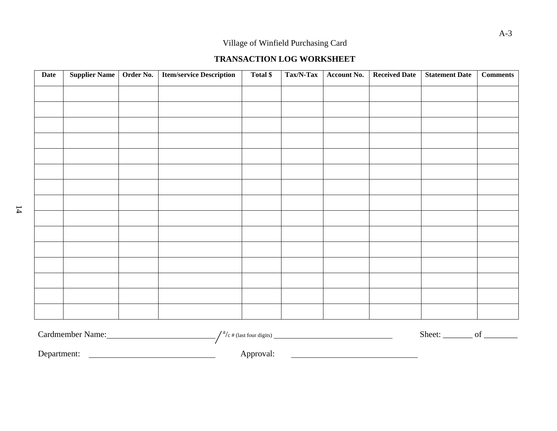## **TRANSACTION LOG WORKSHEET**

| <b>Date</b> | <b>Supplier Name</b> | Order No. | <b>Item/service Description</b> | Total \$ | Tax/N-Tax | Account No. | <b>Received Date</b> | <b>Statement Date</b>       | <b>Comments</b> |
|-------------|----------------------|-----------|---------------------------------|----------|-----------|-------------|----------------------|-----------------------------|-----------------|
|             |                      |           |                                 |          |           |             |                      |                             |                 |
|             |                      |           |                                 |          |           |             |                      |                             |                 |
|             |                      |           |                                 |          |           |             |                      |                             |                 |
|             |                      |           |                                 |          |           |             |                      |                             |                 |
|             |                      |           |                                 |          |           |             |                      |                             |                 |
|             |                      |           |                                 |          |           |             |                      |                             |                 |
|             |                      |           |                                 |          |           |             |                      |                             |                 |
|             |                      |           |                                 |          |           |             |                      |                             |                 |
|             |                      |           |                                 |          |           |             |                      |                             |                 |
|             |                      |           |                                 |          |           |             |                      |                             |                 |
|             |                      |           |                                 |          |           |             |                      |                             |                 |
|             |                      |           |                                 |          |           |             |                      |                             |                 |
|             |                      |           |                                 |          |           |             |                      |                             |                 |
|             |                      |           |                                 |          |           |             |                      |                             |                 |
|             |                      |           |                                 |          |           |             |                      |                             |                 |
|             | $\alpha$ 1 1 M       |           | 191                             |          |           |             |                      | $\mathbf{C1}$ $\mathbf{C2}$ | $\mathbf{r}$    |

| Cardmember Name: | a<br>$\gamma_c$ # (last four digits) | Sheet: |  |
|------------------|--------------------------------------|--------|--|
| Department:      | Approval:                            |        |  |